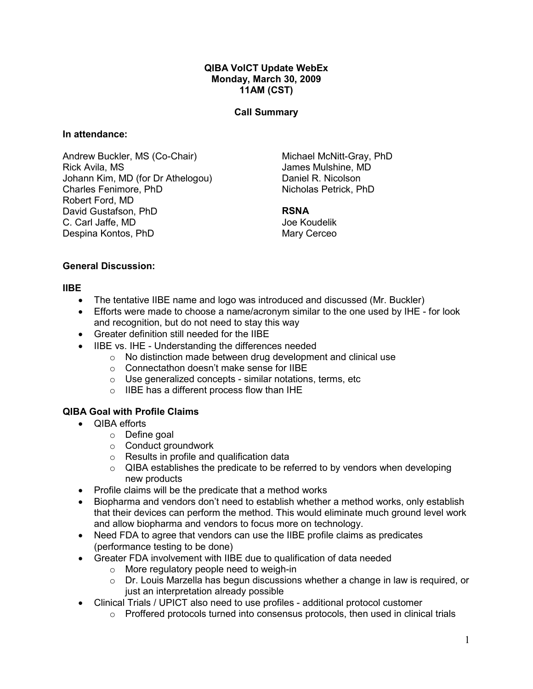#### QIBA VolCT Update WebEx Monday, March 30, 2009 11AM (CST)

## Call Summary

#### In attendance:

Andrew Buckler, MS (Co-Chair) Rick Avila, MS Johann Kim, MD (for Dr Athelogou) Charles Fenimore, PhD Robert Ford, MD David Gustafson, PhD C. Carl Jaffe, MD Despina Kontos, PhD

Michael McNitt-Gray, PhD James Mulshine, MD Daniel R. Nicolson Nicholas Petrick, PhD

#### RSNA

Joe Koudelik Mary Cerceo

#### General Discussion:

#### IIBE

- The tentative IIBE name and logo was introduced and discussed (Mr. Buckler)
- Efforts were made to choose a name/acronym similar to the one used by IHE for look and recognition, but do not need to stay this way
- Greater definition still needed for the IIBE
- IIBE vs. IHE Understanding the differences needed
	- o No distinction made between drug development and clinical use
	- o Connectathon doesn't make sense for IIBE
	- $\circ$  Use generalized concepts similar notations, terms, etc
	- o IIBE has a different process flow than IHE

## QIBA Goal with Profile Claims

- QIBA efforts
	- o Define goal
	- o Conduct groundwork
	- $\circ$  Results in profile and qualification data
	- $\circ$  QIBA establishes the predicate to be referred to by vendors when developing new products
- Profile claims will be the predicate that a method works
- Biopharma and vendors don't need to establish whether a method works, only establish that their devices can perform the method. This would eliminate much ground level work and allow biopharma and vendors to focus more on technology.
- Need FDA to agree that vendors can use the IIBE profile claims as predicates (performance testing to be done)
- Greater FDA involvement with IIBE due to qualification of data needed
	- o More regulatory people need to weigh-in
	- o Dr. Louis Marzella has begun discussions whether a change in law is required, or just an interpretation already possible
- Clinical Trials / UPICT also need to use profiles additional protocol customer
	- $\circ$  Proffered protocols turned into consensus protocols, then used in clinical trials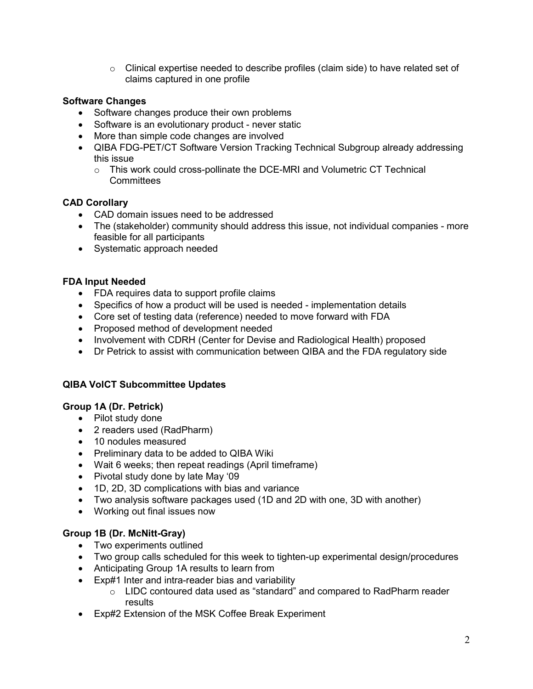o Clinical expertise needed to describe profiles (claim side) to have related set of claims captured in one profile

## Software Changes

- Software changes produce their own problems
- Software is an evolutionary product never static
- More than simple code changes are involved
- QIBA FDG-PET/CT Software Version Tracking Technical Subgroup already addressing this issue
	- $\circ$  This work could cross-pollinate the DCE-MRI and Volumetric CT Technical **Committees**

## CAD Corollary

- CAD domain issues need to be addressed
- The (stakeholder) community should address this issue, not individual companies more feasible for all participants
- Systematic approach needed

## FDA Input Needed

- FDA requires data to support profile claims
- Specifics of how a product will be used is needed implementation details
- Core set of testing data (reference) needed to move forward with FDA
- Proposed method of development needed
- Involvement with CDRH (Center for Devise and Radiological Health) proposed
- Dr Petrick to assist with communication between QIBA and the FDA regulatory side

#### QIBA VolCT Subcommittee Updates

## Group 1A (Dr. Petrick)

- Pilot study done
- 2 readers used (RadPharm)
- 10 nodules measured
- Preliminary data to be added to QIBA Wiki
- Wait 6 weeks; then repeat readings (April timeframe)
- Pivotal study done by late May '09
- 1D, 2D, 3D complications with bias and variance
- Two analysis software packages used (1D and 2D with one, 3D with another)
- Working out final issues now

## Group 1B (Dr. McNitt-Gray)

- Two experiments outlined
- Two group calls scheduled for this week to tighten-up experimental design/procedures
- Anticipating Group 1A results to learn from
- Exp#1 Inter and intra-reader bias and variability
	- $\circ$  LIDC contoured data used as "standard" and compared to RadPharm reader results
- Exp#2 Extension of the MSK Coffee Break Experiment